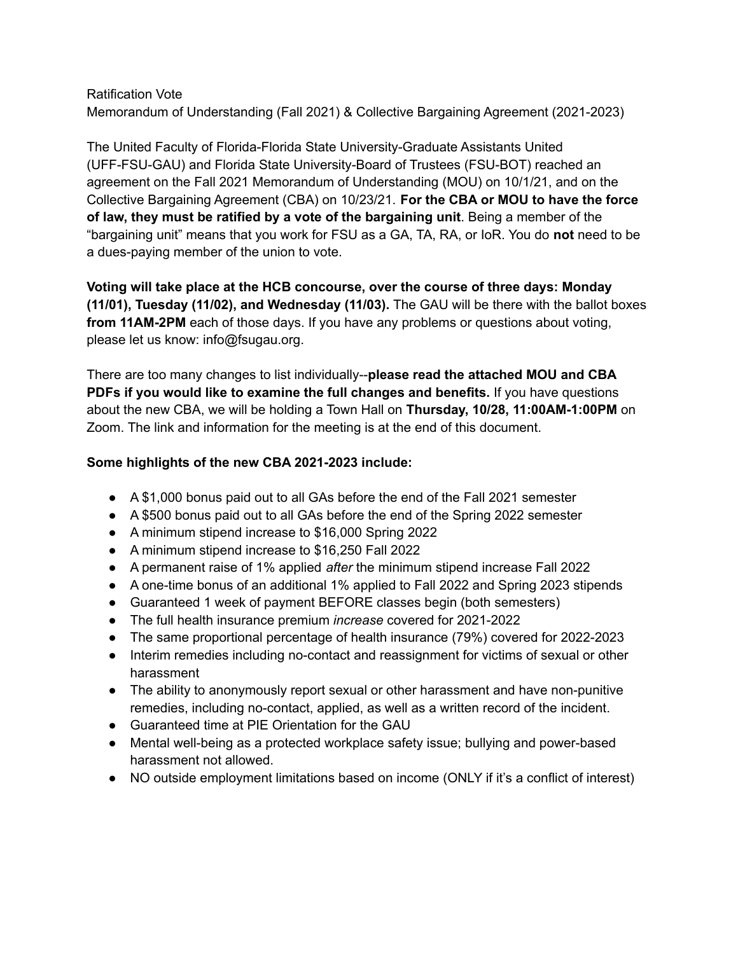## Ratification Vote Memorandum of Understanding (Fall 2021) & Collective Bargaining Agreement (2021-2023)

The United Faculty of Florida-Florida State University-Graduate Assistants United (UFF-FSU-GAU) and Florida State University-Board of Trustees (FSU-BOT) reached an agreement on the Fall 2021 Memorandum of Understanding (MOU) on 10/1/21, and on the Collective Bargaining Agreement (CBA) on 10/23/21. **For the CBA or MOU to have the force of law, they must be ratified by a vote of the bargaining unit**. Being a member of the "bargaining unit" means that you work for FSU as a GA, TA, RA, or IoR. You do **not** need to be a dues-paying member of the union to vote.

**Voting will take place at the HCB concourse, over the course of three days: Monday (11/01), Tuesday (11/02), and Wednesday (11/03).** The GAU will be there with the ballot boxes **from 11AM-2PM** each of those days. If you have any problems or questions about voting, please let us know: info@fsugau.org.

There are too many changes to list individually--**please read the attached MOU and CBA PDFs if you would like to examine the full changes and benefits.** If you have questions about the new CBA, we will be holding a Town Hall on **Thursday, 10/28, 11:00AM-1:00PM** on Zoom. The link and information for the meeting is at the end of this document.

## **Some highlights of the new CBA 2021-2023 include:**

- A \$1,000 bonus paid out to all GAs before the end of the Fall 2021 semester
- A \$500 bonus paid out to all GAs before the end of the Spring 2022 semester
- A minimum stipend increase to \$16,000 Spring 2022
- A minimum stipend increase to \$16,250 Fall 2022
- A permanent raise of 1% applied *after* the minimum stipend increase Fall 2022
- A one-time bonus of an additional 1% applied to Fall 2022 and Spring 2023 stipends
- Guaranteed 1 week of payment BEFORE classes begin (both semesters)
- The full health insurance premium *increase* covered for 2021-2022
- The same proportional percentage of health insurance (79%) covered for 2022-2023
- Interim remedies including no-contact and reassignment for victims of sexual or other harassment
- The ability to anonymously report sexual or other harassment and have non-punitive remedies, including no-contact, applied, as well as a written record of the incident.
- Guaranteed time at PIE Orientation for the GAU
- Mental well-being as a protected workplace safety issue; bullying and power-based harassment not allowed.
- NO outside employment limitations based on income (ONLY if it's a conflict of interest)